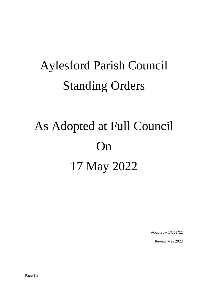## Aylesford Parish Council Standing Orders

# As Adopted at Full Council On 17 May 2022

Adopted – 17/05/22

Review May 2023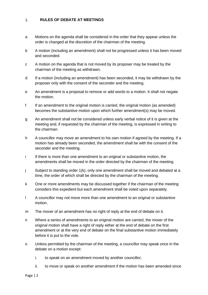#### $1<sup>1</sup>$ **RULES OF DEBATE AT MEETINGS**

- a Motions on the agenda shall be considered in the order that they appear unless the order is changed at the discretion of the chairman of the meeting.
- b A motion (including an amendment) shall not be progressed unless it has been moved and seconded.
- c A motion on the agenda that is not moved by its proposer may be treated by the chairman of the meeting as withdrawn.
- d If a motion (including an amendment) has been seconded, it may be withdrawn by the proposer only with the consent of the seconder and the meeting.
- e An amendment is a proposal to remove or add words to a motion. It shall not negate the motion.
- f If an amendment to the original motion is carried, the original motion (as amended) becomes the substantive motion upon which further amendment(s) may be moved.
- g An amendment shall not be considered unless early verbal notice of it is given at the meeting and, if requested by the chairman of the meeting, is expressed in writing to the chairman.
- h A councillor may move an amendment to his own motion if agreed by the meeting. If a motion has already been seconded, the amendment shall be with the consent of the seconder and the meeting.
- i If there is more than one amendment to an original or substantive motion, the amendments shall be moved in the order directed by the chairman of the meeting.
- j Subject to standing order 1(k), only one amendment shall be moved and debated at a time, the order of which shall be directed by the chairman of the meeting.
- k One or more amendments may be discussed together if the chairman of the meeting considers this expedient but each amendment shall be voted upon separately.
- l A councillor may not move more than one amendment to an original or substantive motion.
- m The mover of an amendment has no right of reply at the end of debate on it.
- n Where a series of amendments to an original motion are carried, the mover of the original motion shall have a right of reply either at the end of debate on the first amendment or at the very end of debate on the final substantive motion immediately before it is put to the vote.
- o Unless permitted by the chairman of the meeting, a councillor may speak once in the debate on a motion except:
	- i. to speak on an amendment moved by another councillor;
	- ii. to move or speak on another amendment if the motion has been amended since

Page | 2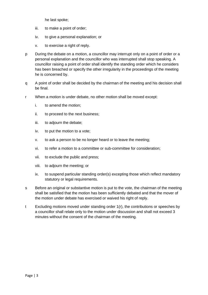he last spoke;

- iii. to make a point of order;
- iv. to give a personal explanation; or
- v. to exercise a right of reply.
- p During the debate on a motion, a councillor may interrupt only on a point of order or a personal explanation and the councillor who was interrupted shall stop speaking. A councillor raising a point of order shall identify the standing order which he considers has been breached or specify the other irregularity in the proceedings of the meeting he is concerned by.
- q A point of order shall be decided by the chairman of the meeting and his decision shall be final.
- r When a motion is under debate, no other motion shall be moved except:
	- i. to amend the motion;
	- ii. to proceed to the next business;
	- iii. to adjourn the debate;
	- iv. to put the motion to a vote;
	- v. to ask a person to be no longer heard or to leave the meeting;
	- vi. to refer a motion to a committee or sub-committee for consideration;
	- vii. to exclude the public and press;
	- viii. to adjourn the meeting; or
	- ix. to suspend particular standing order(s) excepting those which reflect mandatory statutory or legal requirements.
- s Before an original or substantive motion is put to the vote, the chairman of the meeting shall be satisfied that the motion has been sufficiently debated and that the mover of the motion under debate has exercised or waived his right of reply.
- t Excluding motions moved under standing order 1(r), the contributions or speeches by a councillor shall relate only to the motion under discussion and shall not exceed 3 minutes without the consent of the chairman of the meeting.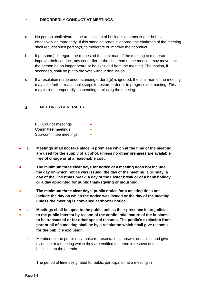#### $2<sub>1</sub>$ **DISORDERLY CONDUCT AT MEETINGS**

- a No person shall obstruct the transaction of business at a meeting or behave offensively or improperly. If this standing order is ignored, the chairman of the meeting shall request such person(s) to moderate or improve their conduct.
- b If person(s) disregard the request of the chairman of the meeting to moderate or improve their conduct, any councillor or the chairman of the meeting may move that the person be no longer heard or be excluded from the meeting. The motion, if seconded, shall be put to the vote without discussion.
- c If a resolution made under standing order 2(b) is ignored, the chairman of the meeting may take further reasonable steps to restore order or to progress the meeting. This may include temporarily suspending or closing the meeting.

#### **MEETINGS GENERALLY**  $3<sub>1</sub>$

| <b>Full Council meetings</b> |  |
|------------------------------|--|
| Committee meetings           |  |
| Sub-committee meetings       |  |

- a **Meetings shall not take place in premises which at the time of the meeting are used for the supply of alcohol, unless no other premises are available free of charge or at a reasonable cost.**
- b **The minimum three clear days for notice of a meeting does not include the day on which notice was issued, the day of the meeting, a Sunday, a day of the Christmas break, a day of the Easter break or of a bank holiday or a day appointed for public thanksgiving or mourning.**
- c **The minimum three clear days' public notice for a meeting does not include the day on which the notice was issued or the day of the meeting unless the meeting is convened at shorter notice**.
- ● d **Meetings shall be open to the public unless their presence is prejudicial to the public interest by reason of the confidential nature of the business to be transacted or for other special reasons. The public's exclusion from part or all of a meeting shall be by a resolution which shall give reasons for the public's exclusion.**
	- e Members of the public may make representations, answer questions and give evidence at a meeting which they are entitled to attend in respect of the business on the agenda.
	- f The period of time designated for public participation at a meeting in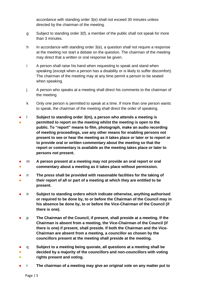accordance with standing order 3(e) shall not exceed 30 minutes unless directed by the chairman of the meeting.

- g Subject to standing order 3(f), a member of the public shall not speak for more than 3 minutes.
- h In accordance with standing order 3(e), a question shall not require a response at the meeting nor start a debate on the question. The chairman of the meeting may direct that a written or oral response be given.
- i A person shall raise his hand when requesting to speak and stand when speaking (except when a person has a disability or is likely to suffer discomfort). The chairman of the meeting may at any time permit a person to be seated when speaking.
- j A person who speaks at a meeting shall direct his comments to the chairman of the meeting.
- k Only one person is permitted to speak at a time. If more than one person wants to speak, the chairman of the meeting shall direct the order of speaking.
- ● l **Subject to standing order 3(m), a person who attends a meeting is permitted to report on the meeting whilst the meeting is open to the public. To "report" means to film, photograph, make an audio recording of meeting proceedings, use any other means for enabling persons not present to see or hear the meeting as it takes place or later or to report or to provide oral or written commentary about the meeting so that the report or commentary is available as the meeting takes place or later to persons not present.**
- ● m **A person present at a meeting may not provide an oral report or oral commentary about a meeting as it takes place without permission.**
- ● n **The press shall be provided with reasonable facilities for the taking of their report of all or part of a meeting at which they are entitled to be present.**
- o **Subject to standing orders which indicate otherwise, anything authorised or required to be done by, to or before the Chairman of the Council may in his absence be done by, to or before the Vice-Chairman of the Council (if there is one).**
- p **The Chairman of the Council, if present, shall preside at a meeting. If the Chairman is absent from a meeting, the Vice-Chairman of the Council (if there is one) if present, shall preside. If both the Chairman and the Vice-Chairman are absent from a meeting, a councillor as chosen by the councillors present at the meeting shall preside at the meeting.**
- q **Subject to a meeting being quorate, all questions at a meeting shall be**
- $\bullet$ **decided by a majority of the councillors and non-councillors with voting rights present and voting.**
- r **The chairman of a meeting may give an original vote on any matter put to**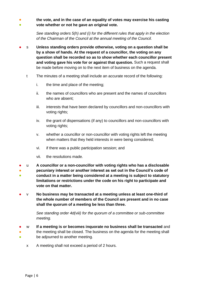● ● **the vote, and in the case of an equality of votes may exercise his casting vote whether or not he gave an original vote.**

> *See standing orders 5(h) and (i) for the different rules that apply in the election of the Chairman of the Council at the annual meeting of the Council.*

- s **Unless standing orders provide otherwise, voting on a question shall be by a show of hands. At the request of a councillor, the voting on any question shall be recorded so as to show whether each councillor present and voting gave his vote for or against that question.** Such a request shall be made before moving on to the next item of business on the agenda.
	- t The minutes of a meeting shall include an accurate record of the following:
		- i. the time and place of the meeting;
		- ii. the names of councillors who are present and the names of councillors who are absent;
		- iii. interests that have been declared by councillors and non-councillors with voting rights;
		- iv. the grant of dispensations (if any) to councillors and non-councillors with voting rights;
		- v. whether a councillor or non-councillor with voting rights left the meeting when matters that they held interests in were being considered;
		- vi. if there was a public participation session; and
		- vii. the resolutions made.
- u **A councillor or a non-councillor with voting rights who has a disclosable**
- **pecuniary interest or another interest as set out in the Council's code of**
- **conduct in a matter being considered at a meeting is subject to statutory limitations or restrictions under the code on his right to participate and vote on that matter.**
- v **No business may be transacted at a meeting unless at least one-third of the whole number of members of the Council are present and in no case shall the quorum of a meeting be less than three.**

*See standing order 4d(viii) for the quorum of a committee or sub-committee meeting.*

- ● ● w **If a meeting is or becomes inquorate no business shall be transacted** and the meeting shall be closed. The business on the agenda for the meeting shall be adjourned to another meeting.
	- x A meeting shall not exceed a period of 2 hours.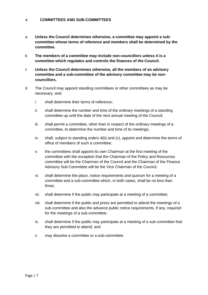#### $\overline{4}$ . **COMMITTEES AND SUB-COMMITTEES**

- a **Unless the Council determines otherwise, a committee may appoint a subcommittee whose terms of reference and members shall be determined by the committee.**
- b **The members of a committee may include non-councillors unless it is a committee which regulates and controls the finances of the Council.**
- c **Unless the Council determines otherwise, all the members of an advisory committee and a sub-committee of the advisory committee may be noncouncillors.**
- d The Council may appoint standing committees or other committees as may be necessary, and:
	- i. shall determine their terms of reference;
	- ii. shall determine the number and time of the ordinary meetings of a standing committee up until the date of the next annual meeting of the Council;
	- iii. shall permit a committee, other than in respect of the ordinary meetings of a committee, to determine the number and time of its meetings;
	- iv. shall, subject to standing orders 4(b) and (c), appoint and determine the terms of office of members of such a committee;
	- v. the committees shall appoint its own Chairman at the first meeting of the committee with the exception that the Chairman of the Policy and Resources committee will be the Chairman of the Council and the Chairman of the Finance Advisory Sub Committee will be the Vice Chairman of the Council;
	- vi. shall determine the place, notice requirements and quorum for a meeting of a committee and a sub-committee which, in both cases, shall be no less than three;
	- vii. shall determine if the public may participate at a meeting of a committee;
	- viii. shall determine if the public and press are permitted to attend the meetings of a sub-committee and also the advance public notice requirements, if any, required for the meetings of a sub-committee;
	- ix. shall determine if the public may participate at a meeting of a sub-committee that they are permitted to attend; and
	- x. may dissolve a committee or a sub-committee.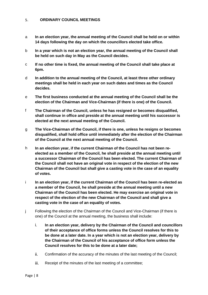#### $5<sub>1</sub>$ **ORDINARY COUNCIL MEETINGS**

- a **In an election year, the annual meeting of the Council shall be held on or within 14 days following the day on which the councillors elected take office.**
- b **In a year which is not an election year, the annual meeting of the Council shall be held on such day in May as the Council decides.**
- c **If no other time is fixed, the annual meeting of the Council shall take place at 6pm.**
- d **In addition to the annual meeting of the Council, at least three other ordinary meetings shall be held in each year on such dates and times as the Council decides.**
- e **The first business conducted at the annual meeting of the Council shall be the election of the Chairman and Vice-Chairman (if there is one) of the Council.**
- f **The Chairman of the Council, unless he has resigned or becomes disqualified, shall continue in office and preside at the annual meeting until his successor is elected at the next annual meeting of the Council.**
- g **The Vice-Chairman of the Council, if there is one, unless he resigns or becomes disqualified, shall hold office until immediately after the election of the Chairman of the Council at the next annual meeting of the Council.**
- h **In an election year, if the current Chairman of the Council has not been reelected as a member of the Council, he shall preside at the annual meeting until a successor Chairman of the Council has been elected. The current Chairman of the Council shall not have an original vote in respect of the election of the new Chairman of the Council but shall give a casting vote in the case of an equality of votes.**
- i **In an election year, if the current Chairman of the Council has been re-elected as a member of the Council, he shall preside at the annual meeting until a new Chairman of the Council has been elected. He may exercise an original vote in respect of the election of the new Chairman of the Council and shall give a casting vote in the case of an equality of votes.**
- j Following the election of the Chairman of the Council and Vice-Chairman (if there is one) of the Council at the annual meeting, the business shall include:
	- i. **In an election year, delivery by the Chairman of the Council and councillors of their acceptance of office forms unless the Council resolves for this to be done at a later date. In a year which is not an election year, delivery by the Chairman of the Council of his acceptance of office form unless the Council resolves for this to be done at a later date;**
	- ii. Confirmation of the accuracy of the minutes of the last meeting of the Council;
	- iii. Receipt of the minutes of the last meeting of a committee;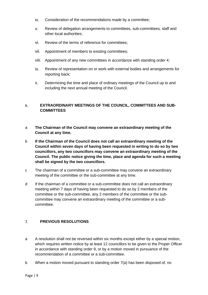- iv. Consideration of the recommendations made by a committee;
- v. Review of delegation arrangements to committees, sub-committees, staff and other local authorities;
- vi. Review of the terms of reference for committees;
- vii. Appointment of members to existing committees;
- viii. Appointment of any new committees in accordance with standing order 4;
- ix. Review of representation on or work with external bodies and arrangements for reporting back;
- x. Determining the time and place of ordinary meetings of the Council up to and including the next annual meeting of the Council.

## 6. **EXTRAORDINARY MEETINGS OF THE COUNCIL, COMMITTEES AND SUB-COMMITTEES**

- a **The Chairman of the Council may convene an extraordinary meeting of the Council at any time.**
- b **If the Chairman of the Council does not call an extraordinary meeting of the Council within seven days of having been requested in writing to do so by two councillors, any two councillors may convene an extraordinary meeting of the Council. The public notice giving the time, place and agenda for such a meeting shall be signed by the two councillors.**
- c The chairman of a committee or a sub-committee may convene an extraordinary meeting of the committee or the sub-committee at any time.
- d If the chairman of a committee or a sub-committee does not call an extraordinary meeting within 7 days of having been requested to do so by 2 members of the committee or the sub-committee, any 2 members of the committee or the subcommittee may convene an extraordinary meeting of the committee or a subcommittee.

#### $7.$ **PREVIOUS RESOLUTIONS**

- a A resolution shall not be reversed within six months except either by a special motion, which requires written notice by at least 12 councillors to be given to the Proper Officer in accordance with standing order 9, or by a motion moved in pursuance of the recommendation of a committee or a sub-committee.
- b When a motion moved pursuant to standing order 7(a) has been disposed of, no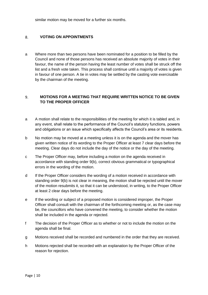similar motion may be moved for a further six months.

#### 8. **VOTING ON APPOINTMENTS**

a Where more than two persons have been nominated for a position to be filled by the Council and none of those persons has received an absolute majority of votes in their favour, the name of the person having the least number of votes shall be struck off the list and a fresh vote taken. This process shall continue until a majority of votes is given in favour of one person. A tie in votes may be settled by the casting vote exercisable by the chairman of the meeting.

## 9. **MOTIONS FOR A MEETING THAT REQUIRE WRITTEN NOTICE TO BE GIVEN TO THE PROPER OFFICER**

- a A motion shall relate to the responsibilities of the meeting for which it is tabled and, in any event, shall relate to the performance of the Council's statutory functions, powers and obligations or an issue which specifically affects the Council's area or its residents.
- b No motion may be moved at a meeting unless it is on the agenda and the mover has given written notice of its wording to the Proper Officer at least 7 clear days before the meeting. Clear days do not include the day of the notice or the day of the meeting.
- c The Proper Officer may, before including a motion on the agenda received in accordance with standing order 9(b), correct obvious grammatical or typographical errors in the wording of the motion.
- d If the Proper Officer considers the wording of a motion received in accordance with standing order 9(b) is not clear in meaning, the motion shall be rejected until the mover of the motion resubmits it, so that it can be understood, in writing, to the Proper Officer at least 2 clear days before the meeting.
- e If the wording or subject of a proposed motion is considered improper, the Proper Officer shall consult with the chairman of the forthcoming meeting or, as the case may be, the councillors who have convened the meeting, to consider whether the motion shall be included in the agenda or rejected.
- f The decision of the Proper Officer as to whether or not to include the motion on the agenda shall be final.
- g Motions received shall be recorded and numbered in the order that they are received.
- h Motions rejected shall be recorded with an explanation by the Proper Officer of the reason for rejection.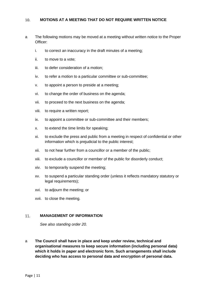#### **MOTIONS AT A MEETING THAT DO NOT REQUIRE WRITTEN NOTICE**   $10<sub>1</sub>$

- a The following motions may be moved at a meeting without written notice to the Proper Officer:
	- i. to correct an inaccuracy in the draft minutes of a meeting;
	- ii. to move to a vote;
	- iii. to defer consideration of a motion;
	- iv. to refer a motion to a particular committee or sub-committee;
	- v. to appoint a person to preside at a meeting;
	- vi. to change the order of business on the agenda;
	- vii. to proceed to the next business on the agenda;
	- viii. to require a written report;
	- ix. to appoint a committee or sub-committee and their members;
	- x. to extend the time limits for speaking;
	- xi. to exclude the press and public from a meeting in respect of confidential or other information which is prejudicial to the public interest;
	- xii. to not hear further from a councillor or a member of the public;
	- xiii. to exclude a councillor or member of the public for disorderly conduct;
	- xiv. to temporarily suspend the meeting;
	- xv. to suspend a particular standing order (unless it reflects mandatory statutory or legal requirements);
	- xvi. to adjourn the meeting; or
	- xvii. to close the meeting.

#### 11. **MANAGEMENT OF INFORMATION**

*See also standing order 20.*

a **The Council shall have in place and keep under review, technical and organisational measures to keep secure information (including personal data) which it holds in paper and electronic form. Such arrangements shall include deciding who has access to personal data and encryption of personal data.**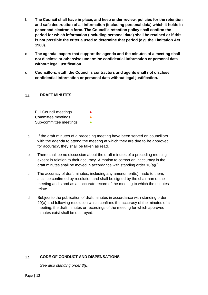- b **The Council shall have in place, and keep under review, policies for the retention and safe destruction of all information (including personal data) which it holds in paper and electronic form. The Council's retention policy shall confirm the period for which information (including personal data) shall be retained or if this is not possible the criteria used to determine that period (e.g. the Limitation Act 1980).**
- c **The agenda, papers that support the agenda and the minutes of a meeting shall not disclose or otherwise undermine confidential information or personal data without legal justification.**
- d **Councillors, staff, the Council's contractors and agents shall not disclose confidential information or personal data without legal justification.**

#### $12.$ **DRAFT MINUTES**

| <b>Full Council meetings</b> |  |
|------------------------------|--|
| Committee meetings           |  |
| Sub-committee meetings       |  |

- a If the draft minutes of a preceding meeting have been served on councillors with the agenda to attend the meeting at which they are due to be approved for accuracy, they shall be taken as read.
- b There shall be no discussion about the draft minutes of a preceding meeting except in relation to their accuracy. A motion to correct an inaccuracy in the draft minutes shall be moved in accordance with standing order 10(a)(i).
- c The accuracy of draft minutes, including any amendment(s) made to them, shall be confirmed by resolution and shall be signed by the chairman of the meeting and stand as an accurate record of the meeting to which the minutes relate.
- d Subject to the publication of draft minutes in accordance with standing order 20(a) and following resolution which confirms the accuracy of the minutes of a meeting, the draft minutes or recordings of the meeting for which approved minutes exist shall be destroyed.

#### 13. **CODE OF CONDUCT AND DISPENSATIONS**

*See also standing order 3(u).*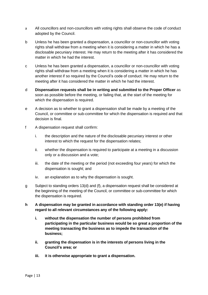- a All councillors and non-councillors with voting rights shall observe the code of conduct adopted by the Council.
- b Unless he has been granted a dispensation, a councillor or non-councillor with voting rights shall withdraw from a meeting when it is considering a matter in which he has a disclosable pecuniary interest. He may return to the meeting after it has considered the matter in which he had the interest.
- c Unless he has been granted a dispensation, a councillor or non-councillor with voting rights shall withdraw from a meeting when it is considering a matter in which he has another interest if so required by the Council's code of conduct. He may return to the meeting after it has considered the matter in which he had the interest.
- d **Dispensation requests shall be in writing and submitted to the Proper Officer** as soon as possible before the meeting, or failing that, at the start of the meeting for which the dispensation is required.
- e A decision as to whether to grant a dispensation shall be made by a meeting of the Council, or committee or sub-committee for which the dispensation is required and that decision is final.
- f A dispensation request shall confirm:
	- i. the description and the nature of the disclosable pecuniary interest or other interest to which the request for the dispensation relates;
	- ii. whether the dispensation is required to participate at a meeting in a discussion only or a discussion and a vote;
	- iii. the date of the meeting or the period (not exceeding four years) for which the dispensation is sought; and
	- iv. an explanation as to why the dispensation is sought.
- g Subject to standing orders 13(d) and (f), a dispensation request shall be considered at the beginning of the meeting of the Council, or committee or sub-committee for which the dispensation is required.
- **h A dispensation may be granted in accordance with standing order 13(e) if having regard to all relevant circumstances any of the following apply:**
	- **i. without the dispensation the number of persons prohibited from participating in the particular business would be so great a proportion of the meeting transacting the business as to impede the transaction of the business;**
	- **ii. granting the dispensation is in the interests of persons living in the Council's area; or**
	- **iii. it is otherwise appropriate to grant a dispensation.**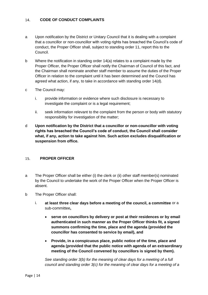#### **CODE OF CONDUCT COMPLAINTS**   $14.$

- a Upon notification by the District or Unitary Council that it is dealing with a complaint that a councillor or non-councillor with voting rights has breached the Council's code of conduct, the Proper Officer shall, subject to standing order 11, report this to the Council.
- b Where the notification in standing order 14(a) relates to a complaint made by the Proper Officer, the Proper Officer shall notify the Chairman of Council of this fact, and the Chairman shall nominate another staff member to assume the duties of the Proper Officer in relation to the complaint until it has been determined and the Council has agreed what action, if any, to take in accordance with standing order 14(d).
- c The Council may:
	- i. provide information or evidence where such disclosure is necessary to investigate the complaint or is a legal requirement;
	- ii. seek information relevant to the complaint from the person or body with statutory responsibility for investigation of the matter;
- d **Upon notification by the District that a councillor or non-councillor with voting rights has breached the Council's code of conduct, the Council shall consider what, if any, action to take against him. Such action excludes disqualification or suspension from office.**

#### 15. **PROPER OFFICER**

- a The Proper Officer shall be either (i) the clerk or (ii) other staff member(s) nominated by the Council to undertake the work of the Proper Officer when the Proper Officer is absent.
- b The Proper Officer shall:
	- i. **at least three clear days before a meeting of the council, a committee** or a sub-committee**,**
		- **serve on councillors by delivery or post at their residences or by email authenticated in such manner as the Proper Officer thinks fit, a signed summons confirming the time, place and the agenda (provided the councillor has consented to service by email), and**
		- **Provide, in a conspicuous place, public notice of the time, place and agenda (provided that the public notice with agenda of an extraordinary meeting of the Council convened by councillors is signed by them).**

*See standing order 3(b) for the meaning of clear days for a meeting of a full council and standing order 3(c) for the meaning of clear days for a meeting of a*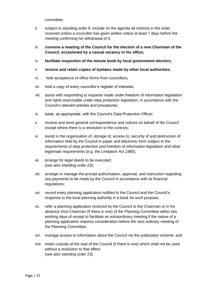*committee;*

- ii. subject to standing order 9, include on the agenda all motions in the order received unless a councillor has given written notice at least 7 days before the meeting confirming his withdrawal of it;
- iii. **convene a meeting of the Council for the election of a new Chairman of the Council, occasioned by a casual vacancy in his office;**
- iv. **facilitate inspection of the minute book by local government electors;**
- v. **receive and retain copies of byelaws made by other local authorities;**
- vi. hold acceptance of office forms from councillors;
- vii. hold a copy of every councillor's register of interests;
- viii. assist with responding to requests made under freedom of information legislation and rights exercisable under data protection legislation, in accordance with the Council's relevant policies and procedures;
- ix. liaise, as appropriate, with the Council's Data Protection Officer;
- x. receive and send general correspondence and notices on behalf of the Council except where there is a resolution to the contrary;
- xi. assist in the organisation of, storage of, access to, security of and destruction of information held by the Council in paper and electronic form subject to the requirements of data protection and freedom of information legislation and other legitimate requirements (e.g. the Limitation Act 1980);
- xii. arrange for legal deeds to be executed; (*see also standing order 23);*
- xiii. arrange or manage the prompt authorisation, approval, and instruction regarding any payments to be made by the Council in accordance with its financial regulations;
- xiv. record every planning application notified to the Council and the Council's response to the local planning authority in a book for such purpose;
- xv. refer a planning application received by the Council to the Chairman or in his absence Vice-Chairman (if there is one) of the Planning Committee within two working days of receipt to facilitate an extraordinary meeting if the nature of a planning application requires consideration before the next ordinary meeting of the Planning Committee;
- xvi. manage access to information about the Council via the publication scheme; and
- xvii. retain custody of the seal of the Council (if there is one) which shall not be used without a resolution to that effect. (s*ee also standing order 23).*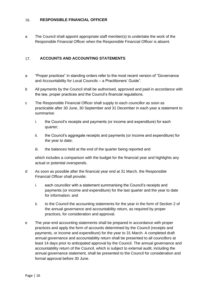#### **RESPONSIBLE FINANCIAL OFFICER**   $16.$

a The Council shall appoint appropriate staff member(s) to undertake the work of the Responsible Financial Officer when the Responsible Financial Officer is absent.

#### $17<sub>1</sub>$ **ACCOUNTS AND ACCOUNTING STATEMENTS**

- a "Proper practices" in standing orders refer to the most recent version of "Governance and Accountability for Local Councils – a Practitioners' Guide".
- b All payments by the Council shall be authorised, approved and paid in accordance with the law, proper practices and the Council's financial regulations.
- c The Responsible Financial Officer shall supply to each councillor as soon as practicable after 30 June, 30 September and 31 December in each year a statement to summarise:
	- i. the Council's receipts and payments (or income and expenditure) for each quarter;
	- ii. the Council's aggregate receipts and payments (or income and expenditure) for the year to date;
	- iii. the balances held at the end of the quarter being reported and

which includes a comparison with the budget for the financial year and highlights any actual or potential overspends.

- d As soon as possible after the financial year end at 31 March, the Responsible Financial Officer shall provide:
	- i. each councillor with a statement summarising the Council's receipts and payments (or income and expenditure) for the last quarter and the year to date for information; and
	- ii. to the Council the accounting statements for the year in the form of Section 2 of the annual governance and accountability return, as required by proper practices, for consideration and approval.
- e The year-end accounting statements shall be prepared in accordance with proper practices and apply the form of accounts determined by the Council (receipts and payments, or income and expenditure) for the year to 31 March. A completed draft annual governance and accountability return shall be presented to all councillors at least 14 days prior to anticipated approval by the Council. The annual governance and accountability return of the Council, which is subject to external audit, including the annual governance statement, shall be presented to the Council for consideration and formal approval before 30 June.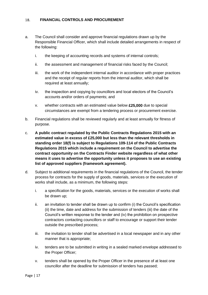#### **FINANCIAL CONTROLS AND PROCUREMENT** 18.

- a. The Council shall consider and approve financial regulations drawn up by the Responsible Financial Officer, which shall include detailed arrangements in respect of the following:
	- i. the keeping of accounting records and systems of internal controls;
	- ii. the assessment and management of financial risks faced by the Council;
	- iii. the work of the independent internal auditor in accordance with proper practices and the receipt of regular reports from the internal auditor, which shall be required at least annually;
	- iv. the inspection and copying by councillors and local electors of the Council's accounts and/or orders of payments; and
	- v. whether contracts with an estimated value below **£25,000** due to special circumstances are exempt from a tendering process or procurement exercise.
- b. Financial regulations shall be reviewed regularly and at least annually for fitness of purpose.
- c. **A public contract regulated by the Public Contracts Regulations 2015 with an estimated value in excess of £25,000 but less than the relevant thresholds in standing order 18(f) is subject to Regulations 109-114 of the Public Contracts Regulations 2015 which include a requirement on the Council to advertise the contract opportunity on the Contracts Finder website regardless of what other means it uses to advertise the opportunity unless it proposes to use an existing list of approved suppliers (framework agreement).**
- d. Subject to additional requirements in the financial regulations of the Council, the tender process for contracts for the supply of goods, materials, services or the execution of works shall include, as a minimum, the following steps:
	- i. a specification for the goods, materials, services or the execution of works shall be drawn up;
	- ii. an invitation to tender shall be drawn up to confirm (i) the Council's specification (ii) the time, date and address for the submission of tenders (iii) the date of the Council's written response to the tender and (iv) the prohibition on prospective contractors contacting councillors or staff to encourage or support their tender outside the prescribed process;
	- iii. the invitation to tender shall be advertised in a local newspaper and in any other manner that is appropriate;
	- iv. tenders are to be submitted in writing in a sealed marked envelope addressed to the Proper Officer;
	- v. tenders shall be opened by the Proper Officer in the presence of at least one councillor after the deadline for submission of tenders has passed;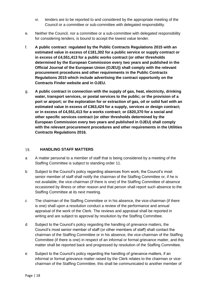- vi. tenders are to be reported to and considered by the appropriate meeting of the Council or a committee or sub-committee with delegated responsibility.
- e. Neither the Council, nor a committee or a sub-committee with delegated responsibility for considering tenders, is bound to accept the lowest value tender.
- f. **A public contract regulated by the Public Contracts Regulations 2015 with an estimated value in excess of £181,302 for a public service or supply contract or in excess of £4,551,413 for a public works contract (or other thresholds determined by the European Commission every two years and published in the Official Journal of the European Union (OJEU)) shall comply with the relevant procurement procedures and other requirements in the Public Contracts Regulations 2015 which include advertising the contract opportunity on the Contracts Finder website and in OJEU.**
- g. **A public contract in connection with the supply of gas, heat, electricity, drinking water, transport services, or postal services to the public; or the provision of a port or airport; or the exploration for or extraction of gas, oil or solid fuel with an estimated value in excess of £363,424 for a supply, services or design contract; or in excess of £4,551,413 for a works contract; or £820,370 for a social and other specific services contract (or other thresholds determined by the European Commission every two years and published in OJEU) shall comply with the relevant procurement procedures and other requirements in the Utilities Contracts Regulations 2016.**

#### 19. **HANDLING STAFF MATTERS**

- a A matter personal to a member of staff that is being considered by a meeting of the Staffing Committee is subject to standing order 11.
- b Subject to the Council's policy regarding absences from work, the Council's most senior member of staff shall notify the chairman of the Staffing Committee or, if he is not available, the vice-chairman (if there is one) of the Staffing Committee of absence occasioned by illness or other reason and that person shall report such absence to the Staffing Committee at its next meeting.
- c The chairman of the Staffing Committee or in his absence, the vice-chairman (if there is one) shall upon a resolution conduct a review of the performance and annual appraisal of the work of the Clerk. The reviews and appraisal shall be reported in writing and are subject to approval by resolution by the Staffing Committee.
- d Subject to the Council's policy regarding the handling of grievance matters, the Council's most senior member of staff (or other members of staff) shall contact the chairman of the Staffing Committee or in his absence, the vice-chairman of the Staffing Committee (if there is one) in respect of an informal or formal grievance matter, and this matter shall be reported back and progressed by resolution of the Staffing Committee.
- e Subject to the Council's policy regarding the handling of grievance matters, if an informal or formal grievance matter raised by the Clerk relates to the chairman or vicechairman of the Staffing Committee, this shall be communicated to another member of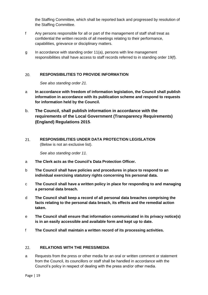the Staffing Committee, which shall be reported back and progressed by resolution of the Staffing Committee.

- f Any persons responsible for all or part of the management of staff shall treat as confidential the written records of all meetings relating to their performance, capabilities, grievance or disciplinary matters.
- g In accordance with standing order 11(a), persons with line management responsibilities shall have access to staff records referred to in standing order 19(f).

#### $20.$ **RESPONSIBILITIES TO PROVIDE INFORMATION**

*See also standing order 21.*

- a **In accordance with freedom of information legislation, the Council shall publish information in accordance with its publication scheme and respond to requests for information held by the Council.**
- b. **The Council, shall publish information in accordance with the requirements of the Local Government (Transparency Requirements) (England) Regulations 2015**.
- 21. **RESPONSIBILITIES UNDER DATA PROTECTION LEGISLATION**  (Below is not an exclusive list).

*See also standing order 11.*

- a **The Clerk acts as the Council's Data Protection Officer.**
- b **The Council shall have policies and procedures in place to respond to an individual exercising statutory rights concerning his personal data.**
- c **The Council shall have a written policy in place for responding to and managing a personal data breach.**
- d **The Council shall keep a record of all personal data breaches comprising the facts relating to the personal data breach, its effects and the remedial action taken.**
- e **The Council shall ensure that information communicated in its privacy notice(s) is in an easily accessible and available form and kept up to date.**
- f **The Council shall maintain a written record of its processing activities.**

#### $22.$ **RELATIONS WITH THE PRESS/MEDIA**

a Requests from the press or other media for an oral or written comment or statement from the Council, its councillors or staff shall be handled in accordance with the Council's policy in respect of dealing with the press and/or other media.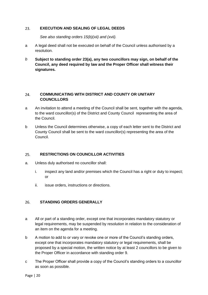#### **EXECUTION AND SEALING OF LEGAL DEEDS**  23.

*See also standing orders 15(b)(xii) and (xvii).*

- a A legal deed shall not be executed on behalf of the Council unless authorised by a resolution.
- *b* **Subject to standing order 23(a), any two councillors may sign, on behalf of the Council, any deed required by law and the Proper Officer shall witness their signatures.**

### **COMMUNICATING WITH DISTRICT AND COUNTY OR UNITARY**   $24.$ **COUNCILLORS**

- a An invitation to attend a meeting of the Council shall be sent, together with the agenda, to the ward councillor(s) of the District and County Council representing the area of the Council.
- b Unless the Council determines otherwise, a copy of each letter sent to the District and County Council shall be sent to the ward councillor(s) representing the area of the Council.

#### 25. **RESTRICTIONS ON COUNCILLOR ACTIVITIES**

- a. Unless duly authorised no councillor shall:
	- i. inspect any land and/or premises which the Council has a right or duty to inspect; or
	- ii. issue orders, instructions or directions.

#### 26. **STANDING ORDERS GENERALLY**

- a All or part of a standing order, except one that incorporates mandatory statutory or legal requirements, may be suspended by resolution in relation to the consideration of an item on the agenda for a meeting.
- b A motion to add to or vary or revoke one or more of the Council's standing orders, except one that incorporates mandatory statutory or legal requirements, shall be proposed by a special motion, the written notice by at least 2 councillors to be given to the Proper Officer in accordance with standing order 9.
- c The Proper Officer shall provide a copy of the Council's standing orders to a councillor as soon as possible.